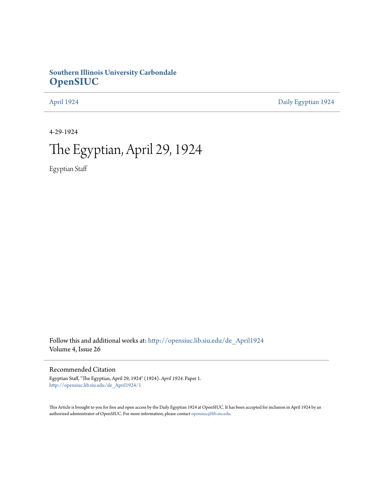# **Southern Illinois University Carbondale [OpenSIUC](http://opensiuc.lib.siu.edu?utm_source=opensiuc.lib.siu.edu%2Fde_April1924%2F1&utm_medium=PDF&utm_campaign=PDFCoverPages)**

[April 1924](http://opensiuc.lib.siu.edu/de_April1924?utm_source=opensiuc.lib.siu.edu%2Fde_April1924%2F1&utm_medium=PDF&utm_campaign=PDFCoverPages) [Daily Egyptian 1924](http://opensiuc.lib.siu.edu/de_1924?utm_source=opensiuc.lib.siu.edu%2Fde_April1924%2F1&utm_medium=PDF&utm_campaign=PDFCoverPages)

4-29-1924

# The Egyptian, April 29, 1924

Egyptian Staff

Follow this and additional works at: [http://opensiuc.lib.siu.edu/de\\_April1924](http://opensiuc.lib.siu.edu/de_April1924?utm_source=opensiuc.lib.siu.edu%2Fde_April1924%2F1&utm_medium=PDF&utm_campaign=PDFCoverPages) Volume 4, Issue 26

### Recommended Citation

Egyptian Staff, "The Egyptian, April 29, 1924" (1924). *April 1924.* Paper 1. [http://opensiuc.lib.siu.edu/de\\_April1924/1](http://opensiuc.lib.siu.edu/de_April1924/1?utm_source=opensiuc.lib.siu.edu%2Fde_April1924%2F1&utm_medium=PDF&utm_campaign=PDFCoverPages)

This Article is brought to you for free and open access by the Daily Egyptian 1924 at OpenSIUC. It has been accepted for inclusion in April 1924 by an authorized administrator of OpenSIUC. For more information, please contact [opensiuc@lib.siu.edu](mailto:opensiuc@lib.siu.edu).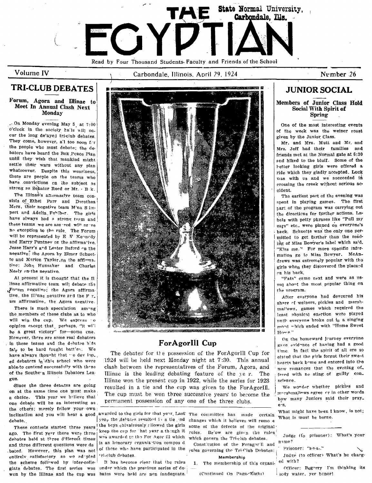

Volume IV

# **TRI-CLUB DEBATES**

### Forum, Agora and Illinae to Meet In Annual Clash Next Monday

 $\sim$  On Monday evening May 5, at 7:00 o'cleck in the society hals will occur the long de'ayed tri-club debates. They come, however, all too soon for the people who must debate; the debators have heard the Bok Peace Plan until they wish that mankind might settle their wars without any plan whatsoever. Despite this weariness. there are people on the teams who have convictions on the subject as streng as Senator Reed or Mr. . B k.

The Illinae's aftermative team consists of Ethel Parr and Dorothea Merz, their negative team M'na S impert and Adelia, Fehlber. The girls have always had a strong team and these teams we are assered will nrive no exception to the rule. The Forum will be represented by E V Kennedy and Harry Puntney on the affirmative. Jesse Harr's and Lester Buford on the negative; the Agora by Elmer Schuette and Marion Taylor.on the affirmative: John Hunsaker and Charles Neely on the negative.

At present it is thought that the Il linae affirmative team will debate the Forum pegative; the Agora affirmative, the Ill'uae nevative and the F r. um affirmative, the Agora negative.

There is much speculation among the members of these clubs as to who will win the cup. We express to opinion except that, perhaps, "it will be a great victory" for-some cne. However, there are some real debators in these teams and the debates hids fair to be hard fought batt'es. We have always thought that we dev lop. ed debaters in this school who were able to contend successfully with these of the Southe n Illinois Debators League.

Since the three debates are going on at the same time one must make a choice. This year we believe that one debate will be as interesting as the others; merely follow your own inclination and you will hear a good awarded to the girls for that year. Last' The committee has made debate.

seo. The first vear there were three debates held at three different times and three different questions were de bated. However, this plan was not entirely satisfactory so we ad pted the scheme followed by inter-collegiate debates. The first series was

#### Carbondale, Illinois, April 29, 1924



# ForAgorIll Cup

The debates for the possession of the ForAgorIll Cup for 1924 will be held next Monday night at 7:30. This annual clash between the representatives of the Forum, Agora, and Illinae is the leading debating feature of the ye r. The Illinae won the present cup in 1922, while the series for 1923 resulted in a tie and the cup was given to the ForAgorIII. The cup must be won three successive years to become the permanent possession of any one of the three clubs.

year the debates resulted is a tie ind changes which it believes will remo e These contests started three years the beys chivalrously : llowed the girls keep the cup for 'hat year a though it was awarded to the For Agor Ill which is an honorary crganizetion compos d of these who have participated in the 'ri-club debates.

It has become clear that the rules under which the previous series of dewon by the Illinae and the cup was bates were held are non inadequate.

certain some of the defects of the original rules. Be'ow are given the rules, which govern the Tri-club debates. Constitution of the Foragor'll and rules governing the Tri-Club Debates: Membershin

The membership of this organi- $\mathbf{1}$ .

(Continued On Page Eight)

# **JUNIOR SOCIAL**

Number 26

### Members of Junior Class Hold Social With Spirit of Spring

One of the most interesting events of the week was the weiner roast given by the Junior Class.

Mr. and Mrs. Mutt and Mr. and Mrs. Jeff had their families and friends met at the Normal gate at 6:30 and hiked to the bluff. Some of the better looking girls were offered a ride which they gladly accepted. Luck was with us and we succeeded in crossing the creek without serious accident.

The earliest part of the evening was spent in playing games. The first part of the program was carrying out the directions for further actions. Labels with petty phrases like "Pull my ears" etc., were pinned on everyone's back. Schuette was the only one permitted to get farther than the reading of Miss Bowyer's label which sa'd. "Kiss me." For more specific information go to Miss Bowyer. McAndrews was extremely popular with the girls when they discovered the placard on his back.

"Fats" came next and were as usval about the most popular thing on the program.

After everyone had devoured his share of weiners, pickles and marshmal'ows, games which required the least physical exertion were played unti everyone broke out in a singing mood which ended with "Home Sweet Home."

On the homeward journey everyone gave evidence of having had a good time. In fact the spirit of all ere so elated that the girls forgot their sweet hearts back home and entered into the new romances that the evening of. fered with ne sting of guilty con. science.

We wonder whether pickles and marshmallews agree or in other words how many Juniors said their pray. e-s.

What might have been I know, is not; What is must be borne.

Judge (to prisoner): What's your  $n$ ume?

Prisoner: "s-s-s-."

Judge (to officer) What's he charged with?

Officer: Begorry I'm thinking its sedy water, yer henor!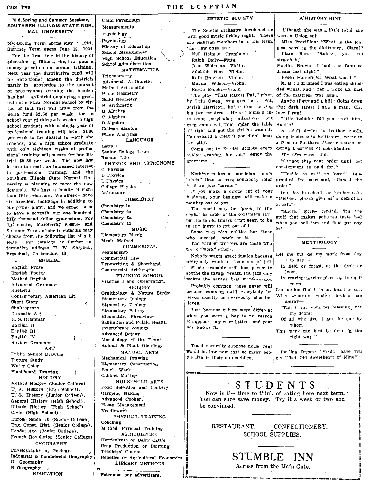Page Two

#### Mid\_Spring and Summer Sessions. SOUTHERN ILLINOIS STATE NOR. MAL UNIVERSITY

Mid-Spring Term opens May 7, 1924. Summer Term opens June 18. 1924. For the first time in the history of education  $i_{n_i}$  Illinois, the. law puts a money premium on normal training. Next year the distributive fund will be apportioned among the districts partly in proportion, to the amount of professional training the teacher has had. A-district employing a graduate of a State Normal Schecl by virtue of that fact will draw from the &tate fund \$2.50 per week tor a school year of thirty-six weeks; a high school graduate with a single year of professional training will bring \$1.00 ber week to the district in which she teaches; and a high school graduate with only eighteen w:eks of professional training will secure for her district \$0.50 per week. The new law is sure to create an increased Interest in professional training, and the Southern Illinois State Normal University is planning to meet the new demands. We have a faculty of more than fifty members. We alresdv have six excellent buildings in addition to our power plant, and we expect soon to have a seventh, our one hundredfifty thousand dollar gymnasium. For the coming Mid-Spring Session and Summer Term, students entering may choose from the following list of subjects. For catalogs or further infermation address H. W. Shryock, President, Carbendale, Ill.

ENGLISH  $\mathbf{a}_i$ English Prose English Poetry Method English Advanced Grammar Rhetoric Contemporary American Lit. Short Story k Shakespeare 'Dramatic Art H. S. Grammar Epglish II English III English IV Review Grammar ART Public School Drawing Picture Study Water Color Blackboard Drawing HISTORY Method History (Junior Col'ege).  $\mathbf{U}_1$  S. History (High School). U. S. History (Junior  $C^{N+e(q)}$ ). General History (High School). Illinois .History (High School). Civic (High School): Europe Since '70 (Senfor College). Eng. Const. Hist. (Senior Cellege), Feudal Age (Senior College). French Revolution (Senior Co!lege) GEOGRAPHY Physiography  $o_r$  Geclogy. Industrial & Commercial Geography C. Geography B Geography. • EDUCATION'

### THE EGYPTJAN Child Psychology History of Educatiqn School Management High School EducatiOn are eighteen members in it this term. The new ones are: Null Holman-Trombone.

Measurements Measurements<br>Psychology<br>Psychology

Trigonometry Advanced Arithmetic Method Arithmetic Plane Geometry Solid Geometry B Arithmetic B Algebra C Algebra D Algebra College Algebra Plane Analytics

Latin I

. C Physics B Physlcs 'D Phys'cs College Physics Astronomy

Chemistry 1a Chemistry 2a Chemistry 3a Chemistry 11

Penmanship Commerc<sup>i</sup>al Law Typewriting & Shorthand Commercial Arithmetlc TRAINING SCHOOL Practice I and Observation. **BIOLOGY** Ornithology & Nature Study Elementary Biology Elementary Zeology Elementary Botany Elementary Physiology Sanitation and Public Health Tnvertehrate 7oology Advanced Botany Morphology of the Fungi Animal & Plant Histology MANUAL ARTS

Elementary Music Music Method'

Mechanical Drawing Elementary Construction

Garment Making Advanced Cooker; Home Management Needlework

Teachers' Course

HOUSEHOLD ARTS Food Selection and Cookery.

PHYSICAL TRAINING

Genetics Or Agricultural Economics LIBRARY METHODS

Method Physical Training AGRICULTURE Hortfcnlture or Dairy Catt'e Crop Preduction or Dairying

Patronize our advertisers.

Bench Work Cahinet Making

**Coaching** 

Senior College Latin Roman Life

School Administration

MATHEMATICS-

LANGUAGE

PHYSICS AND ASTRONOMY

**CHEMISTRY** 

MUSIC

**COMMERCIAL** 

Ralph Baily-Flute. Jean Wid-man-Viclin. Adelaide Horn-Viclin.<br>Ruth Brockett-Violin. Ruth Brockett-Violin.<br>
Mayme Wilsen-Violin. M.B.: I dreamed I was eating shr

The play. "That Rascal Pat," given his two masters. He get himself in- how I ran! to some perplexing situations but even came cut from under the table Auntie? all right and got the girl he wanted. "01\ 'missed a treat if you didn't hear the play.

Come out to Zetetic Society every "'r;~ay eve"lng, for you'll enjoy the programs. I "ra~not ship your order until 'ast

to it as jazz "music."  $\qquad \qquad$  order."

monkey out of you.  $i \circ f$  salt."

The world may be "going to the; Lut these cld timers don't seem to be In any hurry to get out of -it.

Some mon plav rolitics but those who succeed work at it.

The hardest workers are those who try to "work" ethers.

Nobody wants exact justice because everybedy wants to keep out of jail.

Mus'c probably still has power to soothe the savage breast, but jazz only makes the savage brat mere) savage.

Probably common nense never will become common until everybody believes exactly as everybody else be\_ lieves.

Tust because things were different when you "Were a boy Is no reason '0 suppose they were bettet-and ycur boy knows it.

You'd naturally suppose house rent ,would be low now that 80 many pe~- Pa"lip.e O"gan: 'Fred",. have yru I p!e live in their automobiles. . I g"( 'That Old SweE'theart of Mine?' ,.

## ZETETIC SOCIETY | A HISTORY HINT

The Zetetic orchestra furnished us <br>ith good music Friday night. There wore a Union suit. with good music Friday night. Theie wore a Union suit.<br>
See eighteen members in it this term. Miss Trovillion: "What is the lon-

gest word in the dictionary, Clare?" Clare Burt: "Rubber. you can stretch it."

Martha Brown: I had the funniest dream last night."

Mayme Wilson-Violin.  $\begin{vmatrix} M. B.: I \text{ }\text{d} \text{ }\text{d} \text{ }\text{w} \text{ }\text{and} \text{ }\text{d} \text{ }\text{w} \text{ }\text{and} \text{ }\text{where} \text{ }\text{d} \text{ }\text{where} \text{ }\text{d} \text{ }\text{where} \text{ }\text{d} \text{ }\text{where} \text{ }\text{d} \text{ }\text{where} \text{ }\text{d} \text{ }\text{where} \text{ }\text{d} \text{ }\text{where} \text{ }\text{d} \text{ }\text{where} \text{ }\text{d} \text{ }\$ ded wheat. and when I woke up, part of the mattress was gone.

hy I.ulu Owen, was excellent. Pat, Auntie (forty and a bit): Going down Josiah Harrison, had a time serving that dark street I saw a man. Oh. that dark street I saw a man. Oh,

T itt'e Bobbie: Did yeu catch him,

A retail depler in leather goods. do'ng b"siness in Baltimore wrote to a firm in Southern Massachusetts ordering a carlead of merchandise

The firm wired him:

consignment is paid for."

Nothing makes a musician much "Urable to wait so Iong;" tele-"serer" than to have somebody refer, graphed the merchant, "Cancel the

If you make a circus out of your  $O'$  one day in school the teacher said. b"s'n-ss. your business will make a "Micliey, ple?se give us a definition

I de world may be going to the "Shure." Micky replied, "it's ite<br>drgs," as some of the o'd time's say, stuff that makes potates taste bad when you boil 'em and don' put any In.'

# **MENTHOLOGY**

Let me 'but do my work from day • to day,

In field or forest, at the desk or loom.

In rearing market-place o<sub>r</sub> tranquil room.

Let me but find It in my heart to say. When -vagrant wishes becken me astray-

"This is my work my blessing, not my doom;

Of all who live, I am the one by whem

This wark can best be done in the right way,"

o---\_\_\_\_\_\_\_\_\_\_\_\_\_\_ ... \_\_\_\_\_\_\_ .~.\_. \_\_\_\_\_\_\_\_\_\_ .~

# STUDENTS

Now is the time to think of eating here next term.  $\cdot$ You can sure save money. Try it a week or two and be convinced.

RESTAURANT. CONFECTIONERY. SCHOOL SUPPLIES.

> STUMBLE INN Across from the Main Gate.

----.-...-------=-~---.----.')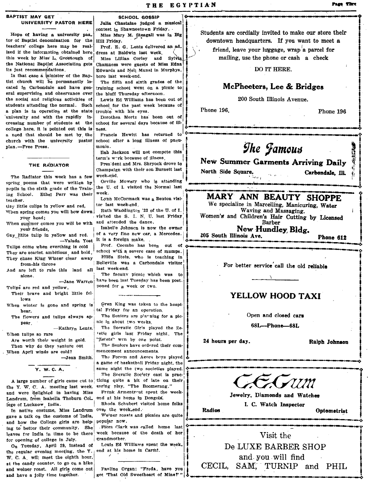# **BAPTIST MAY GET<br>UNIVERSITY PASTOR HERE**

**EXECT SCHOOL GOSSIP**<br>
UNIVERSITY PASTOR HERE Julia Chastaine jugosle<br>
UNIVERSITY PASTOR HERE Julia Chastaine in School and the minimal ontest in Shawneetown Friday.<br>
Hope of having a university past minimal material memb this week by Miss' L. Greenough of Miss Lillian Corley and Sylvia mailing, use the phone or cash a check the National Baptist Association gets Chamness were guests of Miss Edna its just recommendations.

In that case a minister of the Baptist church will be permanently  $\log$  The fifth and sixth grades of the cated in Carbondale and have gen- training school went on a picnic to eral supervision and observance over the bluff Thursday afternoon.<br>the social and religious activities of  $\left| \right|$  Lewis Ed Williams has been students attending the normal. Such a plan Is In operation at the state university and with the rapidly increasing number of students at the college here, It is pointed out this Is a need that should be met by. the church with the university pastor plan,-Free Press.

#### THE RADIATOR

The Radiator this week has a few spring poems that were written by Orville Mowery who is attending numits in the sixth grade of the Train. the U. of I. visited the Normal last pupils in the sixth grade of the Train- the U. of I. views .-- $\begin{array}{ll}\n\text{ing} & \text{School.} \\
\text{then} & \text{Parr} & \text{was} & \text{their} \\
\text{Ivm} & \text{McComack was a Benton visi}\n\end{array}$ 

When summer comes you will be with and attended the dance.<br>vour friends.<br> $\frac{1}{2}$  Isabel'e Johnson is now the owner

Tulips come when everthing is cold is a foreign make.<br>Tulips come when everthing is cold into the combs has been out of the component component and the component of Tulips come when everthing is cold Frof. Coombs has been out of<br>They are scarlet ambitious, and bold, school with a severe case of mumps.<br> $m_{1,01}$  sheas King Whiter clear, away. Hilda Stein, who is teaching in

They chase King Winter clear away Hilda Stein, who is teaching in  $_{from\text{-}high}$  = Belleville was a Carbondale visitor

**When tulins so rare** Are worth their weight in gold.

Then why do they venture out When April winds are cold?<br>-Jean Smith.

A large number of girls came cut to ticing quite a bit of late on their<br> $\sim$  Y. W. C. A. meeting last week, spring play, "The Boomerang." the Y. W. C. A. meeting last week, spring play, "The Boomerang."<br>and were delighted in having Miss. Frank Armentrent spent the weekand were delighted in having Miss Frank Armentrout spent the Landrum from Isabella Thoburn Col. end at his home in Dongola. Landrum, from Isabella Thoburn Col. lege of Lucknow India. Thoda Schubert visited home folks

In native costume, Miss Landrum over the week-end.<br>gave a talk on the customs of India, We'ner roasts and pienics are quite the second contract to the Colloge citing are help popular now. and how the College girls are help popular now.<br>ing to better their community. She . Flora Clark was called home last leaves for India in time to be there week because of the death of her for opening of college in July.<br>  $O_n$  Tuesday, April 29, instead of Louis Ed Williams spent the week.

Julia Chastaine judged a musical<br>contest in Shawneetown Friday.<br>Miss Mary M. Steagall was in Big ST MAY GET<br>UNIVERSITY PASTOR HERE Julia Chastaine judged a musical contest in Shawneetown Friday.

Edwards and Nell Munal in Murphys.<br>horo last week-end.

training school went on a picnic to

Lewis Ed Williams has been out of school for the past week because of trouble with his eyes.

Dorothea Mertz has· been out or school for several days because of ill- $\int_{\mathcal{S}}$  next anomous concernent convenience concerned constant concernent concernent constant concernent constant concernent constant constant constant constant constant constant ness.<br>Francis Hewitt has returned to

school after a long illness of pneu-<br>monia.

Ilah Jackson will not compete this term's w<mark>ork because of illness</mark>,<br>President and Mrs. Shryock drove to

Champaign with their son Burnett last **North Side Square.** Carbondale, II. hampaign with their son Burnett last<br>
eek-end.<br>
Orville Mowery who is attending

When spring comes you will bow down Ruth Waddington '23 of the U. of I.<br>yisited the S. I. N. U. last Friday.  $\sum_{\text{you heat}}$  head;<br>  $\sum_{\text{you heat}}$  head; with and attended the dance.<br>  $\sum_{\text{will heat}}$  and  $\sum_{\text{then the end of the date}}$  and  $\sum_{\text{then the end of the date}}$ 

your friends, Isabelle Johnson is now the owner New Hundley, Bldg.<br>Gay little tulip in yellow and red. of a very fine new car, a Mercedes. 205 South Illinois Ave. Gay,l,itlte tulip in ye!low and red. i of a Very tine neW car, a Mercedes.j j ~05 South Dlinois Ave. . -Valada Yost It is a foreign make, ' .: •• --------~-.... , \_\_\_\_ ~ .. \_~'M \_\_ '" \_\_ ,~ \_\_ , \_\_\_\_ .:P~h:o::D=e~6~1~2:..\_..,

from -his throne Belleville was a Carbondale visitor  $\begin{bmatrix} \text{re} \text{ left to rule this} \\ \text{the} \text{ left to rule this} \end{bmatrix}$  alone.<br>  $\begin{bmatrix} \text{Left} \text{ then } \text{Left} \text{ then } \text{Left} \text{ then } \text{Left} \text{ then } \text{Left} \text{ then } \text{Left} \text{ then } \text{Left} \text{ then } \text{Left} \text{ then } \text{Left} \text{ then } \text{Left} \text{ then } \text{Right} \text{ then } \$ And are left to rule this land all last week-end.<br>slope  $\left\{\n\begin{array}{ccc}\n\text{Area} & \text{Area} \\
\text{Area} & \text{Area}\n\end{array}\n\right.$ chase King Winter clear away Hilda Stein, who is teaching in<br>
from his throne in Belleville was a Carbondale visitor<br>
The faculty picnic which was to all the old reliable<br>
The faculty picnic which was to all the old relia

-Jane Warren have been last Tuesday has been post-<br> $\frac{1}{2}$  have poned for a week or two. Tulips are red and yellow, where the poned for a week or two.

When winter is gone and spring is ?Ten King was taken to the hospihear, the state  $\begin{bmatrix} 1 & 0 & 1 & 0 & 0 & 0 \\ 0 & 0 & 0 & 0 & 0 \\ 0 & 0 & 0 & 0 & 0 \\ 0 & 0 & 0 & 0 & 0 \\ 0 & 0 & 0 & 0 & 0 \\ 0 & 0 & 0 & 0 & 0 \\ 0 & 0 & 0 & 0 & 0 \\ 0 & 0 & 0 & 0 & 0 \\ 0 & 0 & 0 & 0 & 0 \\ 0 & 0 & 0 & 0 & 0 \\ 0 & 0 & 0 & 0 & 0 \\ 0 & 0 & 0 & 0 & 0 \\ 0 & 0 & 0 & 0 & 0 \\$ 

hear, and tulips always  $a_P$  the Seniors are planning for a pic-  $\begin{bmatrix} a & b \\ c & d \end{bmatrix}$  . Open and closed cans pear.  $\begin{bmatrix} \text{nic in about two weeks,} \\ \text{The Social Chile, and the physical table.} \end{bmatrix}$  68L-Phone-68L

 $-Kathryn$  Lentz, The Socratic Girls played the Zetetic girls last Friday night. The "Zetets" wen by one point. etets wen by one point.  $\parallel$  24 hours per day.<br>The Seniors have ordered their com- i

mencement announcements.

The Forum and Agora beys played<br>a game of basketball Friday night, the Y. W. C. A.  $|$  same night the two societies played. The Socratic Soc'ety cast is prac-

got "That Old Sweetheart of Mine?" "

Hope of having a university pas. Miss Mary M. Steagall was in Big Students are cordially invited to make our store their<br>tor of Baptist denomination for the Hill Friday. Steagall was in Big downtown headquarters. If you w

DO IT HERE.

## McPheeters, Lee & Bridges

200 South Illinois Avenue.

Phone 196. Phone 196

 $\mathcal{G}$ he *Jamous* New Summer Garments Arriving Daily

# the school. Ethel Parr was their week.<br>
the school of the Unit Websell and McCormack was a Benton visi-<br>
The specialize in Marcelling. Manicuring Weter<br>
We specialize in Marcelling. Manicuring Weter

Gascher.<br>Gay little tulips in yellow and red, tor last week-end.<br>When spring and Massaging. Water were specialize in Marcelling, Manicuring, Water Waving and Massaging.

# Their brave and bright little  $\left| \begin{array}{ccc} \hline \multicolumn{1}{c} \multicolumn{1}{c} \multicolumn{1}{c} \multicolumn{1}{c} \multicolumn{1}{c} \multicolumn{1}{c} \multicolumn{1}{c} \multicolumn{1}{c} \multicolumn{1}{c} \multicolumn{1}{c} \multicolumn{1}{c} \multicolumn{1}{c} \multicolumn{1}{c} \multicolumn{1}{c} \multicolumn{1}{c} \multicolumn{1}{c} \multicolumn{1}{c} \multicolumn{1}{c} \multicolumn{1}{c} \multicolumn{1$



Jewelry, Diamonds and Watches I. C. Watch Inspector

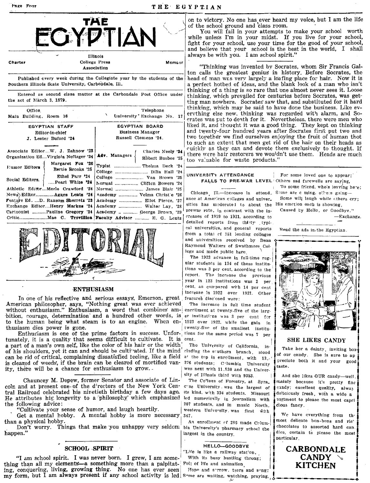#### THE EGYPTIAN



College Press Charter Member Association

Published every week during the Collegiate year by the students of the Southern Illinois State University, Carbondale, Ill.

Entered as second class matter at the Carbondale Post Office under the act of March 3, 1879.

| Office.                                                     |                                       | Telephone<br>x                     |
|-------------------------------------------------------------|---------------------------------------|------------------------------------|
| Main Building, Room 16                                      |                                       | University Exchange No. 17         |
| EGYPTIAN STAFF                                              |                                       | EGYPTIAN BOARD                     |
| Editor-in-chief                                             |                                       | Business Manager                   |
| J. Lester Buford '24                                        |                                       | Russell Clemens '24.               |
|                                                             |                                       |                                    |
| Associate EditorW. J. Zahnow '23                            |                                       | Charles Neely '24                  |
| Organization EdVirginia Neftzger '24                        |                                       | Adv. Managers<br>Robert Busbee '25 |
| Eumor Editors                                               | Margaret Fox '26<br>Bertie Brooks '25 | Typist  Thelma Deck '24            |
|                                                             | Ethel Parr '24                        | College  Dilla Hall '24            |
| Social Editors.                                             | Pearl Whit <b>e '24</b>               | College  Van Brown '25             |
| Athletic EditorMerle Crawford '24                           |                                       | Normal  Clifton Bowers '24         |
| News Editor Agnes Lentz '24                                 |                                       | Academy  Velma Christ'e '26        |
| Feature Ed. D. Ransom Sherretz '23                          |                                       | Academy  Eliot Pierce. '27         |
| Exchange EditorHenry Markus '24                             |                                       | Academy  Walter Lay, '28           |
| Cartoonist Pauline Gregory '24   Academy   George Brown '29 |                                       |                                    |
|                                                             |                                       |                                    |



#### **ENTHUSIASM**

In one of his reflective and serious essays, Emerson, great American philosopher, says, "Nothing great was ever achieved without enthusiasm." Enthusiasm, a word that combines ambition, courage, determination and a hundred other words, is to the human being what steam is to an engine. When en-1923 over 1922, while the gain in thusiasm dies power is gone.

Enthusiasm is one of the prime factors in success. Unfor- tions for the same period was 7 per tunately, it is a quality that seems difficult to cultivate. It is cent. a part of a man's own self, like the color of his hair or the width of his shoulders, yet it can and should be cultivated. If the mind can be rid of critical, complaining dissatisfied teeling, like a field at the top in enrollment, with 13. is cleared of weeds, if the brain can be cleared of mortified vanity, there will be a chance for enthusiasm to grow.

Chauncey M. Depew, former Senator and associate of Lincoln and at present one of the directors of the New York Cen- case University was the largest of tral Railroad celebrated his ninetieth birthday a few days ago. its kind, with 334 students. Missouri He attributes his longevity to a philosophy which emphasized led numerically in journalism with the following advice:

'Cultivate your sense of humor, and laugh heartily.

Get a mental hobby. A mental hobby is more necessary than a physical hobby.

Don't worry. Things that make you unhappy very seldom bia University's pharmacy school the happen."

#### **SCHOOL SPIRIT**

"I am school spirit. I was never born. I grew, I am something than all my elements—a something more than a palpitat- Full of life and animation ing, conquering, living, growing thing. No one has ever seen my form, but I am always present if any school activity is led Some are waiting, watching, praying,

on to victory. No one has ever heard my voice, but I am the life of the school ground and class room.

You will fail in your attempts to make your school worth while unless I'm in your midst. If you live for your school, fight for your school, use your time for the good of your school, and believe that your school is the best in the world, I shall always be with you. I am school spirit.'

"Thinking was invented by Socrates, whom Sir Francis Galton calls the greatest genius in history. Before Socrates, the head of man was very largely a loafing place for hair. Now it is a perfect hotbed of ideas, and the blank look of a man who isn't thinking of a thing is so rare that one almost never sees it. Loose thinking, which prevailed for centuries before Socrates, was getting man nowhere. Socrates saw that, and substituted for it hard thinking, which may be said to have done the business. Like evervthing else new, thinking was regarded with alarm, and Socrates was put to death for it. Nevertheless, there were men who liked it, and thought it was a good thing. They kept on thinking and twenty-four hundred years after Socrates first put two and two together we find ourselves enjoying the fruit of human thot to such an extent that men get rid of the hair on their heads as cuickly as they can and devote them exclusively to thought. If there were hair restorers we wouldn't use them. Heads are much too valuable for waste products."

#### UNIVERSITY ATTENDANCE FALLS TO PRE-WAR LEVEL Others sad farewells are saying.

Chicago Ill.-Increase în attend. ance at American colleges and univer\_ sities has mederated to about the prewar rate, in contrast with the increases of 1919 to 1921, according to detailed reports from thirty typical universities, and general reports from a total of 151 leading colleges and universities received by Dean Raymond Walters of Swathmore College and made public here

The 1923 advance in full-time regular students in 134 of these institutions was 3 per cent, according to the report. The increase the previous year in 123 institutions was 2 per cent. as compared with 14 per cent increase in 1922 over 1921. Other features disclosed were:

The increase in full time student enrellment at twenty-five of the larger institutions was 3 per cent for twenty-five of the smallest institu-

The University of California, including the stuthern branch, stood 276 students; Columbia University was next with 11,530 and the University of Illinois third with 9353.

The College of Forestry, at Syra\_ 207 students, and in music North\_ western University was first with 347.

An enrollment of 286 made Columlargest in the country.

#### HELLO-GOODBYE

"Life is like a railway station, With its busy hustling throng:

Hope and sorrow, tears and song:

Read the ads in the Egyptian.

For some loved one to appear:

Some are c ming, others going-

His emction each is showing, Caused by Hello, or Goodbye."

To some friend, who's leaving here;

Some will laugh while others cry;

-Exchange.

### SHE LIKES CANDY

Take her a dainty, inviting boxof our candy. She is sure to ap preciate both it and your good taste.

And she likes OUR candy-well mainly because it's pretty fine candy; excellent quality, alway delicicusly fresh, with a wide a sortment to please the most canri cious fancy.

We have everything from the most delicate bon-bons and ric' chocolates to assorted hard can. dies, certain to please the most particular.

**CARBONDALE CANDY KITCHEN**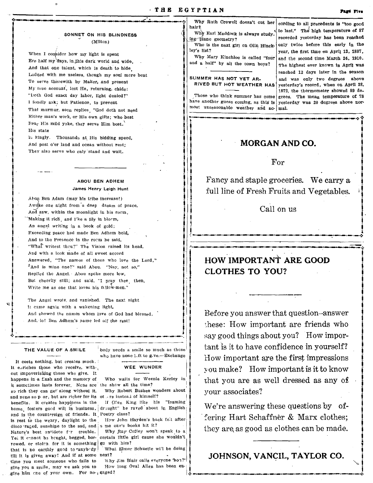#### SONNET ON HIS BLINDNESS (Milton)

When I consider how my light is spent Ere half my days, in this dark world and wide. And that one talent, which is death to hide Lodged with me useless, though my soul more bent To serve therewith by Maker, and present My true account, lest He, returning, chide: "Doth God exact day labor, light denied?" I fondly ask; but Patience, to prevent That murmur, soon replies, "God doth not need Either man's work, or His own gifts; who best Hear His mild yoke, they serve Him best. His state

15 kingly. Thousands at His bidding speed, And post o'er land and ocean without rest: They also serve who only stand and wait.

### **ABOU BEN ADHEM** James Henry Leigh Hunt

Abou Ben Adam (may his tribe increase!) Awdke one night from a deep dream of peace, And saw, within the moonlight in his room, Making it rich, and l'ke a lily in bloom, An angel writing in a book of gold; Exceeding peace had made Ben Adhem bold, And to the Presence in the room he said, "What writest theu?" The Vision raised its head, And with a look made of all sweet accord Answered, "The names of those who love the Lord," "And is mine one?" said Abou. "Nay, not so," Replied the Angel. Abou spoke more low, But cheerily still; and said, "I pray thee, then, Write me as one that loves his fellow-men."

The Angel wrote, and vanished. The next night It came again with a wakening light, And showed the names whom love of God had blessed. And, lo! Ben Adhem's name led alf the rest!

#### THE VALUE OF A SMILE

It costs nothing, but creates much. It enriches those who receive, without impoverishing those who give. It happens in a flash and the memory of it sometimes lasts forever. None are the show all the time? so rich they can get along without it. and none so poor, but are richer for its ot ors instead of himself? benefits. It creates happiness in the home, fosters good will in business. and is the countersign of friends. It Poetry class? is rest to the weary, daylight to the disco raged, sunshipe to the sad, and Nature's best antidote for trouble. Yet it cannot be bought, begged, borrowed, or stolen, for it is something that is no earthly good to anybody till it is given away! And if at some time you meet someone who fails to give you a smile, may we ask you to give him one of your own. For no gaged?

body needs a smile so much as these who have none left to g.ve.-Exchange

#### WEE WUNDER

Who waits for Weenie Kerley in

Why Robert Buzbee wonders about

If Ofen King like his "foaming draught" he raved about in English

How John Hayden's back felt after s me one's books hit it?

Why Ray Coffey won't speak to a certain little girl cause she wouldn't go with him?

What Elmer Schuette wi'l be doing next?

Why Jim Blair calls everyone 'hon?' How long Oval Allen has been enhair? Why Earl Maddock is always study.

ing plane geometry? Who is the next girl on Olin Hincklev's list?

Why Mary Kinchloe is called "four and a half" by all the town boys?

#### SUMMER HAS NOT YET AR-RIVED BUT HOT WEATHER HAS

Those who think summer has come most unseasonable weather and ac- mal.

Why Ruth Crowell doesn't cut her  $|$  cording to all precedents is "too good to last." The high temperature of 87 recorded yesterday has been reached only twice before this early in the year, the first time on April 13, 1887, and the second time March 24, 1910. The highest ever known in April was reached 12 days later in the season and was only two degrees above vesterday's record, when on April 28, 1872, the thermometer showed 89 de- $\frac{1}{2}$  grees. The mean temperature of 78 have another guess coming, as this is yesterday was 20 degrees above nor-

# **MORGAN AND CO.**

### $For$

Fancy and staple groceries. We carry a full line of Fresh Fruits and Vegetables.

Call on us

# HOW IMPORTANT ARE GOOD **CLOTHES TO YOU?**

Before you answer that question-answer these: How important are friends who say good things about you? How important is it to have confidence in yourself? How important are the first impressions you make? How important is it to know that you are as well dressed as any of your associates?

We're answering these questions by offering Hart Schaffner & Marx clothes; they are as good as clothes can be made.

JOHNSON, VANCIL, TAYLOR CO.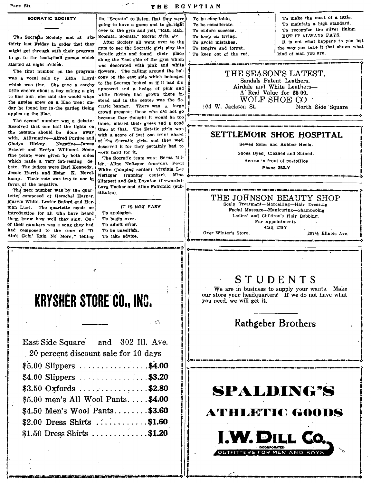Page Six

THE EGYPTIAN

### SOCRATIC SOCIETY

The Socratic Society met at six- Socrats, Socrats," Socrat girls, etc. thirty last Fiday in order that they After Society all went over to the  $T_{\text{total}}$  and  $T_{\text{total}}$  mistakes. might get through with their program  $\left|\frac{\text{sym}}{\text{Zetetic}}\right|$  and found their place to go to the basketball games which some the Fast side of the sym which

Resolved that one half the lights on  $\frac{1}{2}$  thme at that. The Zetetic girls won the campus should be done away, Gladys Hickey. Negative-James deserved it for they certainly had to Brazier and Evelyn Williams. Some, and Lead is the Management Gladys Hickey. Negative—James of the Sccratic girls, and they we'll severe Soles and Rubber Heels.<br>Brazier and Evelyn Williams. Some I work hard for it. I shoes byed Cleaned and Shined. fine points were given by both sides were given by the Socratic team was: Berna Mil, Shoes Dyed, Cleaned and Shined.<br>
The Socratic team was: Beth Socratic team was: Berna Mil, Shoes Dyed, Cleaned and Shined.<br>
1-1-1-1-1-1-1 with, Affirmative—Aired Purdue and of the Socratic girls, and they we'll all the seved Soles and Rubber Heels.<br>
Brazier and Evelyn Williams. Some deserved it for they certainly had to<br>
fine points were given by both sides bate, The judges were Early meresting us-1 ter, Aline Neftzger (guards). Pearl and the collection of process in front of process in front of process in front of process in the collection of the state of the collection of t Jessie Harris and Ester K. Nevel, Neftzger (mnnlng centpr\. Mina eo .. -- \_\_ • \_\_\_\_\_\_ • \_\_\_ .\_.\_ \_.\_. Jessie Harris and Ester K. Nevel-<br>kamp. Their vote was two to one in Slimpert and Gail Boynton (forwards)-<br>favor of the negative.

Marvin White, Lester Buford and Here 17 IS NOT EASY Scalp Treatment-Marcelling-Hair Dress.ng<br>man Luce. The quartette needs no 17 IS NOT EASY Scalp Treatment-Marcelling-Hair Dress.ng<br>introduction for all who have heard To a intreduction for all who have heard there action for all who have heard to applience.<br>
To begin over.<br>
and they sing. On~ To begin over. The single state of the single state of the single state of the single state of the single state of the single state of t them know how well they sing. One To begin over.<br>
of their numbers was a song they had<br>
and camposed to the tune of "It To be unselfish. To admit eine of "It To be unselfish. To admit either a store the store. All the stor them know how well they sing. One is to begin over.<br>
of their numbers was a song they bed To admit error.<br>
and composed to the tune of "It To be unselfish. To the end of "It To take advice. Ain't Geln' Rain No More," telli them know how well they sing. One To begin over.<br>
of their numbers was a song they hed To admit error.<br>
And composed to the tune of "It To be uneelfish. Call 279Y<br>
And Coin' Rain No More," telling To take advtee.<br>
at the G

East Side Square

the "Sccrats" to listen, that they were going to have a game and to go right over to the gym and yell, "Rah, Rah,

to go to the basketball games which along the East side of the gym which started at eight o'clock. arted at eight o'clock.<br>The first number on the program flowers. The railing around the ba'-|| THE SEASON'S LATEST. day he found her in the garden tieing cratic banner. There was a large  $\parallel$  104 W. Jackson St. North Side Square  $\parallel$  apples on the file. The second number was a debate: these who did not go apples on the life.<br>The second number was a debate: the second their gness and a good<br>Resolved that one half the lights on  $\mu$ ... The second number was a debate: because they thought it would be too.<br>
Resolved that one half the lights on time at that. The Zetetic girls won<br>
the campus should be done away with a score of just one point sheed<br>
with Af the campus should be done away with a score of just one point shead  $\frac{1}{2}$  SETTLEMOIR SHOE HOSPITAL with Affirmative-Alfred Purdue and of the Secretic girls, and they well Gladys Hickey. Negative-James degrand it for t

fractive. *'t'* next number was'by the quar- Lava Tucker and Aline Fairchild (sub-<br>The next number was'by the quarstitutes).

 $, 1.1$ 

and 302 Ill. Ave.

- 
- 
- 
- 

To be charitable. To be considerate. To endure success. To keep on trying.<br>To avoid mistakes. To forgive and tprget.

To keep out of the rut.

To make the most of a Uttle. To maintain a high standard, To recognize the silver lining.<br>BUT IT ALWAYS PAYS. It is not what happens to you but the way YOU take it that shows what kind of man you are.

i<br>international property of the control of the control of the control of the control of the control of the control of the control of the control of the control of the control of the control of the control of the control of

 $\ddot{\phantom{a}}$ i<br>!

# was a vocal solo by Effic Lloyd' cony on the east side which belonged as  $\frac{1}{1}$  and discussions of the Socrats looked as if it had discussions. which was fine. She gave a catchy to the Socrats looked as it it had used.<br>
If the encore about a boy asking a girl:<br>
the shim, she said she would when white flowers had grown there in-<br>
the shim, she said she would when w the apples grew on a lilac tree; one stead and in the center was the So- WOLF SHOE CO day he found her in the garden tieing cratic banner. There was a large 104 W. Jackson St. North Side Square

# tette, composed of Herschel Harper.<br>Marvin White, Lester Buford and Her- the scale of the Scale Treatment—Marcelling—Hair Pross age.

# $S$   $T$   $U$   $D$   $E$   $N$   $T$   $S$ <br>We are in business to supply your wants. Make

**I- , We are in business to supply your wants.** Make  $\begin{matrix}\n & & & \text{if } \\
 & & & \text{if } \\
\text{if } & & \text{if } \\
\text{if } & & \text{if } \\
\text{if } & & \text{if } \\
\text{if } & & \text{if } \\
\end{matrix}$ 

# Rathgeber Brothers

J----~----~--~---------.. ~.~----~.--\_.-.. --D \_\_\_ a \_\_\_ " ... \_.~ .. \_\_ D .. \_\_ ~ \_\_\_ '. \_\_\_ ~ \_\_\_ n ... \_\_ ~ I ",-g\_ .... **....** 

# **SPALDING'S**

**ATHLETIC GOODS** 

**I.W. DILL (** 



فكالمتعارض والمتواطنا المتواطنا المتوارد والمتواطن والمتوارد والمتوار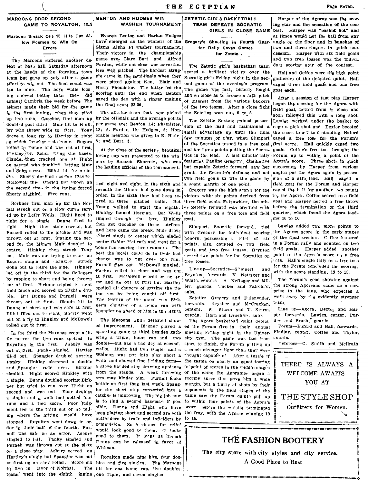#### Marouns Smack Out 15 Hits But Al. low Foemen to Win On Errors

feat at base ball Saturday afternoon at the hands of the Royalton town team but gave up only after a game effort to win out. The final count was ten to nine. The boys while loosing showed better than they did against Cambria the week before. The Miners made their bid for the game in the first inving, when they pi'ed up five runs. Goocher, first man up by the officials and the average points doubled past third Muir hit to Hink. ley who threw wide to first. Tony dreve a long fly to Hartley in right on which Goocher rode bome. Rogers rolled to Dunne and was out at first.  $H^{\dagger n}$ kley bit Sohn.  $f^{\dagger}$ l'ng the bases. Claude then cracked one at Hight on second who fumbled-letting Muir and Sohn score. Elliott hit for a sin gle. Shorty doubled scoring Claude McDowell then singled but Gooch up the second time in the inning forced Shorty at third. Five runs,

Borkner first man up for the Nor mal struck out on a slow curve served up by Lefty Wells. Hight lined to right for a single. Dunne fied to right. Hight then stole second, but Purnell rolled to the pitcher and was thrown out at first. Staring the second for the Miners Muir doubled to centre. Hinkley then struck Tony cut. Muir was out trying to score on Rogers single and Hinkley struck Sohn out to retire the side. Hinkley led off in the third for the Collegers by rapping to short and being thrown cut at first. Birkner tripled to right field fence and scored on Hight's double. But Dunne and Purnell were thrown out at first. Claude hit to Dunne at shert and was safe at first. Elliet flied out to right Sherty went out on a fly to Hinkley and McDowell rolled out to first.

tle nearer the five runs spotted to ering a triple, home run and two sity gym. The game was fast from Royalton in the first. Asbury was double-but had a bad day at second. start to finish, the Forum putting up out at first. Panky singled. Hartley Walks. Hight had two singles and a a much stronger fight than they were filed out. Spangler d ubled scoring Widman was put into play short a thought capable of After a tussle of Panky. Hinkley slammed a double while and showed fine f'olding form- the teams on nearly an equal footing and Spangler rode over. Birkner a glove harded stop drawing applause in point of scores in the middle stages strolled. Hight scored Hinkley with from the stands. A weak throwing of the game the Agoramen began a a single. Dunne doubled scoring Birkner but tr'ed to run over Hight on second and was out. Four deubles a single and a walk had netted four runs and a tied score. Poor judgment led to the third out or no telling where the hitting would have stopped. Royalton went down in order in their half of the fourth. Purnell was safe on an error. Asbury singled to left. Panky singled and Purnell was thrown cut at the plate on a close play. Asbury serred on Hartley's single but Spangler was out at first on an easy roller. Score six bles and five singles. The Maroons to five in favor of Normal. teams went into the eighth faning, one triple, and seven singles.

#### **RENTON AND HODGES WIN WASHER TOURNAMENT**

Everett Benton and Harlan Hodges have emerged as the winners of the Sigma Alpha Pi washer tournament. Their victory in the championship The Maroons suffered another de- game over Clare Burt and Alfred Purdue, while not close was nevertheless well pitched. The hardest struggle came in the semi-finals when they were pitted against Ken. Blair and Harry Phemister. The latter led the scoring until the end when Benton saved the day with a ringer making the final score 23-20.

متعادلته بما

The all-star team that, was picked the Zetetics won out, 9 to 8. per game are: Benton, 14: Phemister. orable mention was given to K. Blair  $3:$  and Burt.  $8$ 

At the close of the series a beautiful ners by Ransom Sherretz, who was the leading official of the tournament.

tied, eight and eight. In the sixth and a seant margin of one point. seventh the Miners had gone down in order. In the sixth they had been re- victors with six points derived from for the Agora. Coffee scored on a field tired on three pitched balls. But three field goals, Fulenwider, the oth. goal and Harper netted a free throw Young walked to start the eighth. er Zetetic forward was credited with before the termination of the third Hinkley fanned Herman. But Wells three points on a free tess and field quarter, which found the Agora leadsingled through the box. Hinkley then get Goocher on three strikes And here came the break. Muir drove a<sup>5</sup>hard single to center wh'ch eluded center fielder McUrath and went for a home run scoring three runners. The best the locals could do in their last chance was to put over one run. Purnell flew out. McDowell singled. Parkey relled to short and was out at first. Mc<sup>r</sup>owell scored on an er ror and an out at first but Hartley spoiled all chances of getting the tieing run by heing caught off first. The feature of the game was Birkner's clouting of a home run with Spangler on ahead of him in the eighth

The Maroons while defeated showed improvement. Birkner played a ed the Forum five in their annual In the third the Maroons crept a lit. Sparkling game at third besides gath- meeting Friday night in the Univerarm may hinder him. Purnell looks scoring spree that gave him a wide better on first than last week. Spang- margin, but a flurry of shots by their ler the short stop converted into a opponents in the final stages of the catcher is improving. The big job now same saw the Forum qu'nto pull up is to find a second baseman if pos- to within four points of the Agera's sible. Dunne and Hight who have score before the whistle terminated been playing short and second are both the fray, with the Agoras winning 19 outfielders by trade and infielders by compulsion. So a chance for relies would look good to them. It looks good to them. It locks as though Tunne can be released in favor of Widman.

> Royalton made nine hits, four dou-The hit for one home run, five doubles,

### ZETETIC GIRLS BASKETBALL TEAM DEFEATS SOCRATIC

TRE EGYPTIAN

ter Rally Saves Games for Zetets.

The Zetetic girl's basketball team scored a brilliant vict ry over the Socratic girls Friday night in the sec-The game was fast, bitterly fought goal each. and so close as to arouse a high pitch of interest from the various backers of the two teams. After a close fight |

sion of the lead and maintained a cage a pick shot and Dexter boosted 13. A. Purdue, 10; Hodges, 8; Honfew minutes of p'ay, when Slimpert caged a free toss for the Forum's of the Socratics tossed in a free goal first score. Hall quickly caged two and for three points putting the Socra- goals. Coffee's free toss brought the loving cup was presented to the win- tics in the lead. A last minute rally Forum up to within a point of the featuring Pauline Gregory diminutive Agora's score. Three shets in quick but capable Zetetic forward, saw her succession by Harper from various evade the Secratic's defense and net angles put the Agora again in possestwo field goals to win the game by sion of a safe lead. Hall caged a

goal.

Slimpert, Socratic forward, tied with Greeory for individual scoring the Agoras score in the early stages honors, possessing a total of six of the final session. Coffee featured points, also, counted on two field in a Forum rally and counted on two goals and two free tosses. Boynton field goals. Harper added another scored two peints for the Socratics on point to the Agora's score on a free free tosses.

Line up-Socratics-S"mpert and Boynton forwards. V. Neftzger and White, centers. A. Neftzger and Miller, guards. Tucker and Fairchi'd, subs.

Zetetics-Gregory and Fulenwider. forwards. Krysher and McCracken, centers. S. Sturm and T. Sturm. guards. Horn and Laughlin, sub-.

The Agora basketball quint defeatto 15.

Harper of the Agoras was the scoring star and the sensation of the con-GIRLS IN CLOSE GAME test. Harper was "basket hot" and

at times would net the ball from any Gregory's Shouting in Fourth Quar angle on the floor and in bunches of two and three ringers in quick succession. Harper with six field goals ard two free tosses was the indivi. dual scoring star of the contest.

Hall and Coffee were the high point gatherers of the defeated quint. Hall ond game of the evening's program. eaged three field goals and one free

After a session of fast play Harper began the scoring for the Agora with field goal, netted from in close and soon followed this with a long shot. The Zetetic Sextete gained posses | Lawles werked under the basket to tield goal for the Forum and Harner Gregory was the high scorer for the cased the ball for another two points  $\frac{1}{1}$ ing 16 to 10.

> Lawles added two more points to tess. Hall's single tally on a free toss for the Forum concluded the scoring, with the score standing, 19 to 15.

> The Forum's good showing against the strong Agoreans came as a surprise to the fans, who expected a wa'k away by the evidently stronger team,

> Line up-Agera, Dexter and Harper. forwards. Lawles, center. Purdue and Brush guards.

Forum-Buterd and Hall, forwards. Findlay, center, Coffee and Taylor. eusrds.

"eferees-C. Smith and McIlrath.



# **THE FASHION BOOTERY**

The city store with city styles and city service. A Good Place to Rest